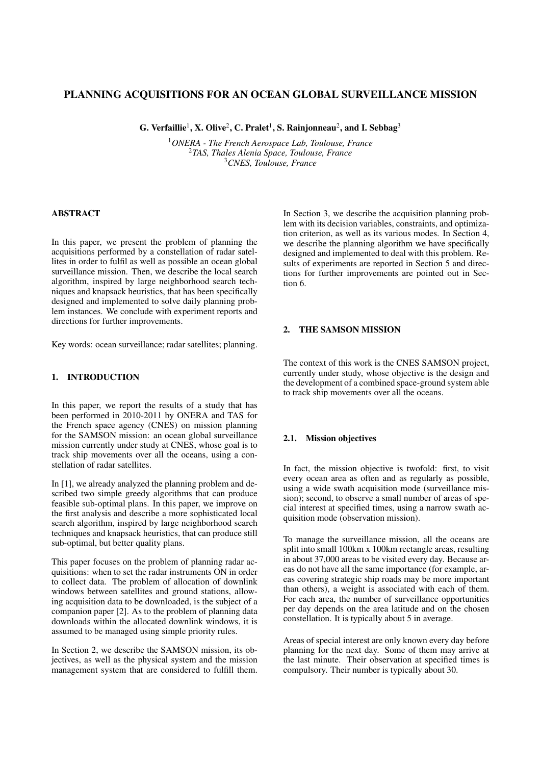# PLANNING ACQUISITIONS FOR AN OCEAN GLOBAL SURVEILLANCE MISSION

G. Verfaillie $^1$ , X. Olive $^2$ , C. Pralet $^1$ , S. Rainjonneau $^2$ , and I. Sebbag $^3$ 

<sup>1</sup>*ONERA - The French Aerospace Lab, Toulouse, France* <sup>2</sup>*TAS, Thales Alenia Space, Toulouse, France* <sup>3</sup>*CNES, Toulouse, France*

#### ABSTRACT

In this paper, we present the problem of planning the acquisitions performed by a constellation of radar satellites in order to fulfil as well as possible an ocean global surveillance mission. Then, we describe the local search algorithm, inspired by large neighborhood search techniques and knapsack heuristics, that has been specifically designed and implemented to solve daily planning problem instances. We conclude with experiment reports and directions for further improvements.

Key words: ocean surveillance; radar satellites; planning.

# 1. INTRODUCTION

In this paper, we report the results of a study that has been performed in 2010-2011 by ONERA and TAS for the French space agency (CNES) on mission planning for the SAMSON mission: an ocean global surveillance mission currently under study at CNES, whose goal is to track ship movements over all the oceans, using a constellation of radar satellites.

In [1], we already analyzed the planning problem and described two simple greedy algorithms that can produce feasible sub-optimal plans. In this paper, we improve on the first analysis and describe a more sophisticated local search algorithm, inspired by large neighborhood search techniques and knapsack heuristics, that can produce still sub-optimal, but better quality plans.

This paper focuses on the problem of planning radar acquisitions: when to set the radar instruments ON in order to collect data. The problem of allocation of downlink windows between satellites and ground stations, allowing acquisition data to be downloaded, is the subject of a companion paper [2]. As to the problem of planning data downloads within the allocated downlink windows, it is assumed to be managed using simple priority rules.

In Section 2, we describe the SAMSON mission, its objectives, as well as the physical system and the mission management system that are considered to fulfill them. In Section 3, we describe the acquisition planning problem with its decision variables, constraints, and optimization criterion, as well as its various modes. In Section 4, we describe the planning algorithm we have specifically designed and implemented to deal with this problem. Results of experiments are reported in Section 5 and directions for further improvements are pointed out in Section 6.

## 2. THE SAMSON MISSION

The context of this work is the CNES SAMSON project, currently under study, whose objective is the design and the development of a combined space-ground system able to track ship movements over all the oceans.

## 2.1. Mission objectives

In fact, the mission objective is twofold: first, to visit every ocean area as often and as regularly as possible, using a wide swath acquisition mode (surveillance mission); second, to observe a small number of areas of special interest at specified times, using a narrow swath acquisition mode (observation mission).

To manage the surveillance mission, all the oceans are split into small 100km x 100km rectangle areas, resulting in about 37,000 areas to be visited every day. Because areas do not have all the same importance (for example, areas covering strategic ship roads may be more important than others), a weight is associated with each of them. For each area, the number of surveillance opportunities per day depends on the area latitude and on the chosen constellation. It is typically about 5 in average.

Areas of special interest are only known every day before planning for the next day. Some of them may arrive at the last minute. Their observation at specified times is compulsory. Their number is typically about 30.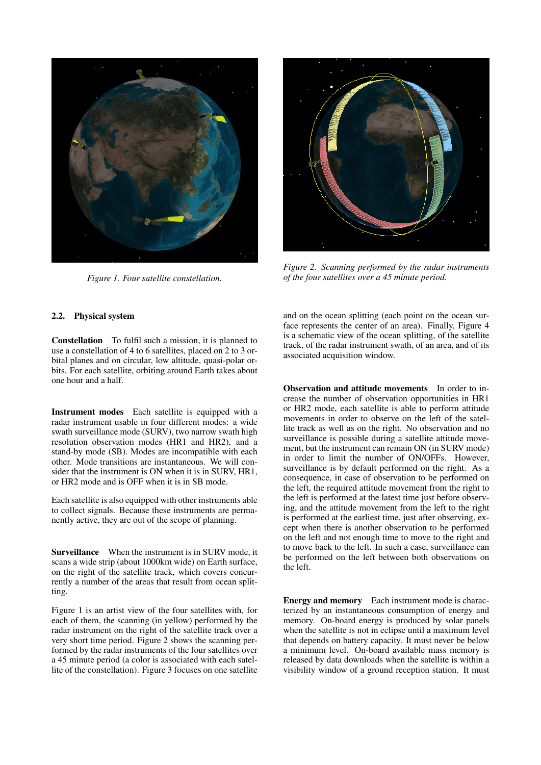

*Figure 1. Four satellite constellation.*

*Figure 2. Scanning performed by the radar instruments of the four satellites over a 45 minute period.*

## 2.2. Physical system

Constellation To fulfil such a mission, it is planned to use a constellation of 4 to 6 satellites, placed on 2 to 3 orbital planes and on circular, low altitude, quasi-polar orbits. For each satellite, orbiting around Earth takes about one hour and a half.

Instrument modes Each satellite is equipped with a radar instrument usable in four different modes: a wide swath surveillance mode (SURV), two narrow swath high resolution observation modes (HR1 and HR2), and a stand-by mode (SB). Modes are incompatible with each other. Mode transitions are instantaneous. We will consider that the instrument is ON when it is in SURV, HR1, or HR2 mode and is OFF when it is in SB mode.

Each satellite is also equipped with other instruments able to collect signals. Because these instruments are permanently active, they are out of the scope of planning.

Surveillance When the instrument is in SURV mode, it scans a wide strip (about 1000km wide) on Earth surface, on the right of the satellite track, which covers concurrently a number of the areas that result from ocean splitting.

Figure 1 is an artist view of the four satellites with, for each of them, the scanning (in yellow) performed by the radar instrument on the right of the satellite track over a very short time period. Figure 2 shows the scanning performed by the radar instruments of the four satellites over a 45 minute period (a color is associated with each satellite of the constellation). Figure 3 focuses on one satellite and on the ocean splitting (each point on the ocean surface represents the center of an area). Finally, Figure 4 is a schematic view of the ocean splitting, of the satellite track, of the radar instrument swath, of an area, and of its associated acquisition window.

Observation and attitude movements In order to increase the number of observation opportunities in HR1 or HR2 mode, each satellite is able to perform attitude movements in order to observe on the left of the satellite track as well as on the right. No observation and no surveillance is possible during a satellite attitude movement, but the instrument can remain ON (in SURV mode) in order to limit the number of ON/OFFs. However, surveillance is by default performed on the right. As a consequence, in case of observation to be performed on the left, the required attitude movement from the right to the left is performed at the latest time just before observing, and the attitude movement from the left to the right is performed at the earliest time, just after observing, except when there is another observation to be performed on the left and not enough time to move to the right and to move back to the left. In such a case, surveillance can be performed on the left between both observations on the left.

Energy and memory Each instrument mode is characterized by an instantaneous consumption of energy and memory. On-board energy is produced by solar panels when the satellite is not in eclipse until a maximum level that depends on battery capacity. It must never be below a minimum level. On-board available mass memory is released by data downloads when the satellite is within a visibility window of a ground reception station. It must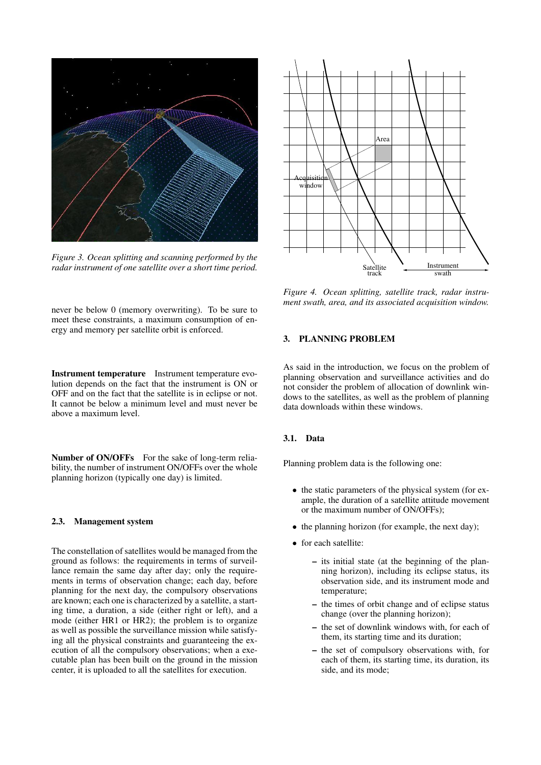

*Figure 3. Ocean splitting and scanning performed by the radar instrument of one satellite over a short time period.*

never be below 0 (memory overwriting). To be sure to meet these constraints, a maximum consumption of energy and memory per satellite orbit is enforced.

Instrument temperature Instrument temperature evolution depends on the fact that the instrument is ON or OFF and on the fact that the satellite is in eclipse or not. It cannot be below a minimum level and must never be above a maximum level.

Number of ON/OFFs For the sake of long-term reliability, the number of instrument ON/OFFs over the whole planning horizon (typically one day) is limited.

#### 2.3. Management system

The constellation of satellites would be managed from the ground as follows: the requirements in terms of surveillance remain the same day after day; only the requirements in terms of observation change; each day, before planning for the next day, the compulsory observations are known; each one is characterized by a satellite, a starting time, a duration, a side (either right or left), and a mode (either HR1 or HR2); the problem is to organize as well as possible the surveillance mission while satisfying all the physical constraints and guaranteeing the execution of all the compulsory observations; when a executable plan has been built on the ground in the mission center, it is uploaded to all the satellites for execution.



*Figure 4. Ocean splitting, satellite track, radar instrument swath, area, and its associated acquisition window.*

#### 3. PLANNING PROBLEM

As said in the introduction, we focus on the problem of planning observation and surveillance activities and do not consider the problem of allocation of downlink windows to the satellites, as well as the problem of planning data downloads within these windows.

#### 3.1. Data

Planning problem data is the following one:

- the static parameters of the physical system (for example, the duration of a satellite attitude movement or the maximum number of ON/OFFs);
- the planning horizon (for example, the next day);
- for each satellite:
	- its initial state (at the beginning of the planning horizon), including its eclipse status, its observation side, and its instrument mode and temperature;
	- the times of orbit change and of eclipse status change (over the planning horizon);
	- the set of downlink windows with, for each of them, its starting time and its duration;
	- the set of compulsory observations with, for each of them, its starting time, its duration, its side, and its mode;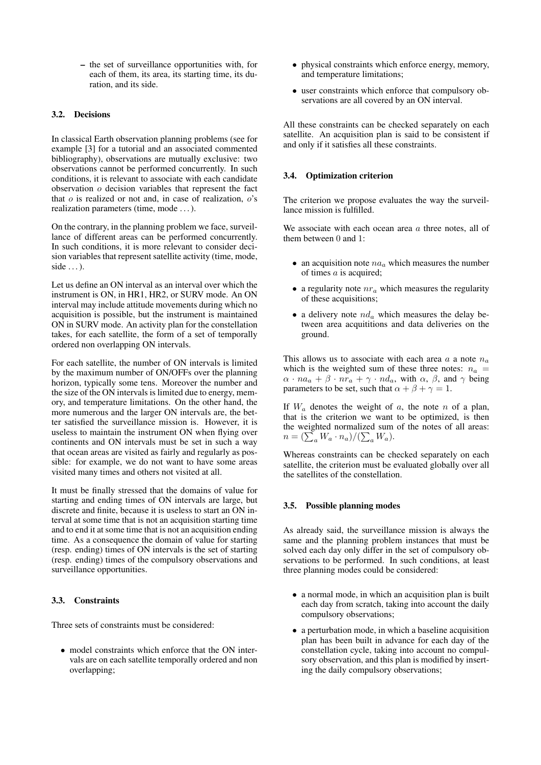– the set of surveillance opportunities with, for each of them, its area, its starting time, its duration, and its side.

# 3.2. Decisions

In classical Earth observation planning problems (see for example [3] for a tutorial and an associated commented bibliography), observations are mutually exclusive: two observations cannot be performed concurrently. In such conditions, it is relevant to associate with each candidate observation o decision variables that represent the fact that  $\sigma$  is realized or not and, in case of realization,  $\sigma$ 's realization parameters (time, mode . . . ).

On the contrary, in the planning problem we face, surveillance of different areas can be performed concurrently. In such conditions, it is more relevant to consider decision variables that represent satellite activity (time, mode, side  $\dots$ ).

Let us define an ON interval as an interval over which the instrument is ON, in HR1, HR2, or SURV mode. An ON interval may include attitude movements during which no acquisition is possible, but the instrument is maintained ON in SURV mode. An activity plan for the constellation takes, for each satellite, the form of a set of temporally ordered non overlapping ON intervals.

For each satellite, the number of ON intervals is limited by the maximum number of ON/OFFs over the planning horizon, typically some tens. Moreover the number and the size of the ON intervals is limited due to energy, memory, and temperature limitations. On the other hand, the more numerous and the larger ON intervals are, the better satisfied the surveillance mission is. However, it is useless to maintain the instrument ON when flying over continents and ON intervals must be set in such a way that ocean areas are visited as fairly and regularly as possible: for example, we do not want to have some areas visited many times and others not visited at all.

It must be finally stressed that the domains of value for starting and ending times of ON intervals are large, but discrete and finite, because it is useless to start an ON interval at some time that is not an acquisition starting time and to end it at some time that is not an acquisition ending time. As a consequence the domain of value for starting (resp. ending) times of ON intervals is the set of starting (resp. ending) times of the compulsory observations and surveillance opportunities.

## 3.3. Constraints

Three sets of constraints must be considered:

• model constraints which enforce that the ON intervals are on each satellite temporally ordered and non overlapping;

- physical constraints which enforce energy, memory, and temperature limitations;
- user constraints which enforce that compulsory observations are all covered by an ON interval.

All these constraints can be checked separately on each satellite. An acquisition plan is said to be consistent if and only if it satisfies all these constraints.

#### 3.4. Optimization criterion

The criterion we propose evaluates the way the surveillance mission is fulfilled.

We associate with each ocean area  $a$  three notes, all of them between 0 and 1:

- an acquisition note  $na_a$  which measures the number of times a is acquired;
- a regularity note  $nr_a$  which measures the regularity of these acquisitions;
- a delivery note  $nd_a$  which measures the delay between area acquititions and data deliveries on the ground.

This allows us to associate with each area a a note  $n_a$ which is the weighted sum of these three notes:  $n_a$  =  $\alpha \cdot na_a + \beta \cdot nr_a + \gamma \cdot nd_a$ , with  $\alpha, \beta$ , and  $\gamma$  being parameters to be set, such that  $\alpha + \beta + \gamma = 1$ .

If  $W_a$  denotes the weight of  $a$ , the note  $n$  of a plan, that is the criterion we want to be optimized, is then the weighted normalized sum of the notes of all areas:  $n = \left(\sum_a W_a \cdot n_a\right) / \left(\sum_a W_a\right).$ 

Whereas constraints can be checked separately on each satellite, the criterion must be evaluated globally over all the satellites of the constellation.

#### 3.5. Possible planning modes

As already said, the surveillance mission is always the same and the planning problem instances that must be solved each day only differ in the set of compulsory observations to be performed. In such conditions, at least three planning modes could be considered:

- a normal mode, in which an acquisition plan is built each day from scratch, taking into account the daily compulsory observations;
- a perturbation mode, in which a baseline acquisition plan has been built in advance for each day of the constellation cycle, taking into account no compulsory observation, and this plan is modified by inserting the daily compulsory observations;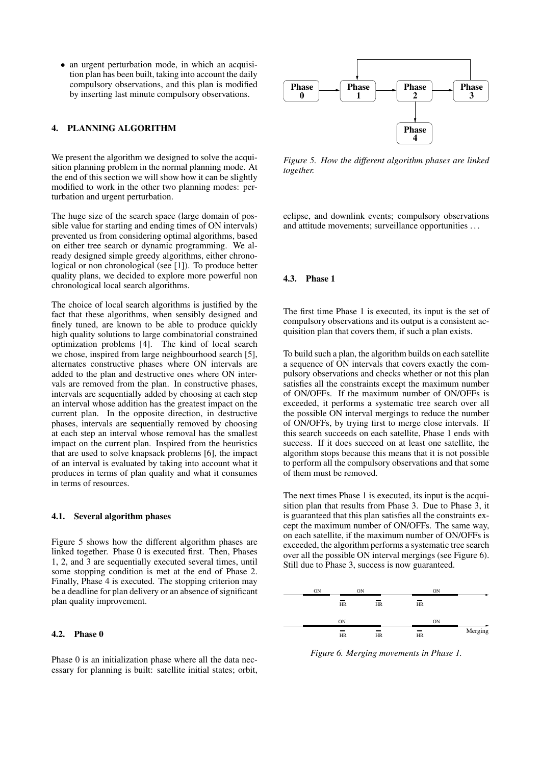• an urgent perturbation mode, in which an acquisition plan has been built, taking into account the daily compulsory observations, and this plan is modified by inserting last minute compulsory observations.

# 4. PLANNING ALGORITHM

We present the algorithm we designed to solve the acquisition planning problem in the normal planning mode. At the end of this section we will show how it can be slightly modified to work in the other two planning modes: perturbation and urgent perturbation.

The huge size of the search space (large domain of possible value for starting and ending times of ON intervals) prevented us from considering optimal algorithms, based on either tree search or dynamic programming. We already designed simple greedy algorithms, either chronological or non chronological (see [1]). To produce better quality plans, we decided to explore more powerful non chronological local search algorithms.

The choice of local search algorithms is justified by the fact that these algorithms, when sensibly designed and finely tuned, are known to be able to produce quickly high quality solutions to large combinatorial constrained optimization problems [4]. The kind of local search we chose, inspired from large neighbourhood search [5]. alternates constructive phases where ON intervals are added to the plan and destructive ones where ON intervals are removed from the plan. In constructive phases, intervals are sequentially added by choosing at each step an interval whose addition has the greatest impact on the current plan. In the opposite direction, in destructive phases, intervals are sequentially removed by choosing at each step an interval whose removal has the smallest impact on the current plan. Inspired from the heuristics that are used to solve knapsack problems [6], the impact of an interval is evaluated by taking into account what it produces in terms of plan quality and what it consumes in terms of resources. by inserting last minute compulsory observations.<br> **4. PLANNING ALGOUITHM**<br>
We present the algorithm we designed to solve the acqui-<br>
Me present the algorithm we designed to solve the acqui-<br>
the end of this section we wil

#### 4.1. Several algorithm phases

Figure 5 shows how the different algorithm phases are linked together. Phase 0 is executed first. Then, Phases 1, 2, and 3 are sequentially executed several times, until some stopping condition is met at the end of Phase 2. Finally, Phase 4 is executed. The stopping criterion may be a deadline for plan delivery or an absence of significant plan quality improvement.

## 4.2. Phase 0

Phase 0 is an initialization phase where all the data nec-



*Figure 5. How the different algorithm phases are linked together.*

eclipse, and downlink events; compulsory observations and attitude movements; surveillance opportunities . . .

#### 4.3. Phase 1

The first time Phase 1 is executed, its input is the set of compulsory observations and its output is a consistent acquisition plan that covers them, if such a plan exists.

To build such a plan, the algorithm builds on each satellite a sequence of ON intervals that covers exactly the compulsory observations and checks whether or not this plan satisfies all the constraints except the maximum number of ON/OFFs. If the maximum number of ON/OFFs is exceeded, it performs a systematic tree search over all the possible ON interval mergings to reduce the number of ON/OFFs, by trying first to merge close intervals. If this search succeeds on each satellite, Phase 1 ends with success. If it does succeed on at least one satellite, the algorithm stops because this means that it is not possible to perform all the compulsory observations and that some of them must be removed.

The next times Phase 1 is executed, its input is the acquisition plan that results from Phase 3. Due to Phase 3, it is guaranteed that this plan satisfies all the constraints except the maximum number of ON/OFFs. The same way, on each satellite, if the maximum number of ON/OFFs is exceeded, the algorithm performs a systematic tree search over all the possible ON interval mergings (see Figure 6). Still due to Phase 3, success is now guaranteed.



*Figure 6. Merging movements in Phase 1.*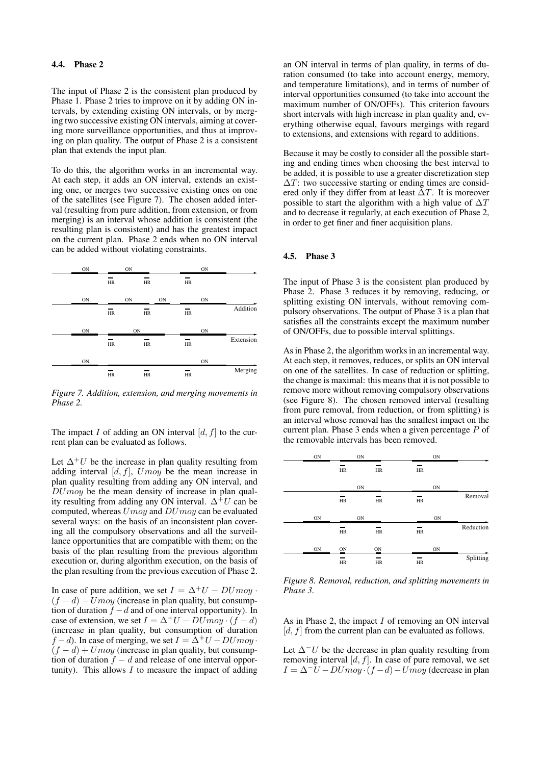The input of Phase 2 is the consistent plan produced by Phase 1. Phase 2 tries to improve on it by adding ON intervals, by extending existing ON intervals, or by merging two successive existing ON intervals, aiming at covering more surveillance opportunities, and thus at improving on plan quality. The output of Phase 2 is a consistent plan that extends the input plan.

To do this, the algorithm works in an incremental way. At each step, it adds an ON interval, extends an existing one, or merges two successive existing ones on one of the satellites (see Figure 7). The chosen added interval (resulting from pure addition, from extension, or from merging) is an interval whose addition is consistent (the resulting plan is consistent) and has the greatest impact on the current plan. Phase 2 ends when no ON interval can be added without violating constraints.

| ON | ON |    | ON |           |
|----|----|----|----|-----------|
|    | HR | HR | HR |           |
| ON | ON | ON | ON |           |
|    | HR | HR | HR | Addition  |
|    |    |    |    |           |
| ON |    | ON | ON |           |
|    | HR | HR | HR | Extension |
| ON |    |    | ON |           |

*Figure 7. Addition, extension, and merging movements in Phase 2.*

The impact I of adding an ON interval  $[d, f]$  to the current plan can be evaluated as follows.

Let  $\Delta^+ U$  be the increase in plan quality resulting from adding interval  $[d, f]$ ,  $Umoy$  be the mean increase in plan quality resulting from adding any ON interval, and  $DUmoy$  be the mean density of increase in plan quality resulting from adding any ON interval.  $\Delta^+U$  can be computed, whereas  $Umoy$  and  $DUmoy$  can be evaluated several ways: on the basis of an inconsistent plan covering all the compulsory observations and all the surveillance opportunities that are compatible with them; on the basis of the plan resulting from the previous algorithm execution or, during algorithm execution, on the basis of the plan resulting from the previous execution of Phase 2.

In case of pure addition, we set  $I = \Delta^+ U - DUmoy$ .  $(f - d) - Umoy$  (increase in plan quality, but consumption of duration  $f - d$  and of one interval opportunity). In case of extension, we set  $I = \Delta^+ U - DUmoy \cdot (f - d)$ (increase in plan quality, but consumption of duration  $f - d$ ). In case of merging, we set  $I = \Delta^+ U - DUmoy$ .  $(f - d) + Umoy$  (increase in plan quality, but consumption of duration  $f - d$  and release of one interval opportunity). This allows  $I$  to measure the impact of adding

an ON interval in terms of plan quality, in terms of duration consumed (to take into account energy, memory, and temperature limitations), and in terms of number of interval opportunities consumed (to take into account the maximum number of ON/OFFs). This criterion favours short intervals with high increase in plan quality and, everything otherwise equal, favours mergings with regard to extensions, and extensions with regard to additions.

Because it may be costly to consider all the possible starting and ending times when choosing the best interval to be added, it is possible to use a greater discretization step  $\Delta T$ : two successive starting or ending times are considered only if they differ from at least  $\Delta T$ . It is moreover possible to start the algorithm with a high value of  $\Delta T$ and to decrease it regularly, at each execution of Phase 2, in order to get finer and finer acquisition plans.

## 4.5. Phase 3

The input of Phase 3 is the consistent plan produced by Phase 2. Phase 3 reduces it by removing, reducing, or splitting existing ON intervals, without removing compulsory observations. The output of Phase 3 is a plan that satisfies all the constraints except the maximum number of ON/OFFs, due to possible interval splittings.

As in Phase 2, the algorithm works in an incremental way. At each step, it removes, reduces, or splits an ON interval on one of the satellites. In case of reduction or splitting, the change is maximal: this means that it is not possible to remove more without removing compulsory observations (see Figure 8). The chosen removed interval (resulting from pure removal, from reduction, or from splitting) is an interval whose removal has the smallest impact on the current plan. Phase 3 ends when a given percentage P of the removable intervals has been removed.

|           | ON |    | ON |    |    | ON |  |
|-----------|----|----|----|----|----|----|--|
|           |    | HR | HR |    | HR |    |  |
|           | ON |    |    | ON |    |    |  |
| Removal   |    | HR | HR |    | HR |    |  |
|           |    |    |    |    |    |    |  |
|           | ON |    |    | ON |    | ON |  |
| Reduction |    | HR | HR |    | HR |    |  |
|           |    |    |    |    |    |    |  |
|           |    |    |    |    |    |    |  |
| Splitting | ON |    | ON |    | ON | ON |  |

*Figure 8. Removal, reduction, and splitting movements in Phase 3.*

As in Phase 2, the impact  $I$  of removing an ON interval  $[d, f]$  from the current plan can be evaluated as follows.

Let  $\Delta$ <sup>−</sup>U be the decrease in plan quality resulting from removing interval  $[d, f]$ . In case of pure removal, we set  $I = \Delta^{-}U - DUmoy \cdot (f - d) - Umoy$  (decrease in plan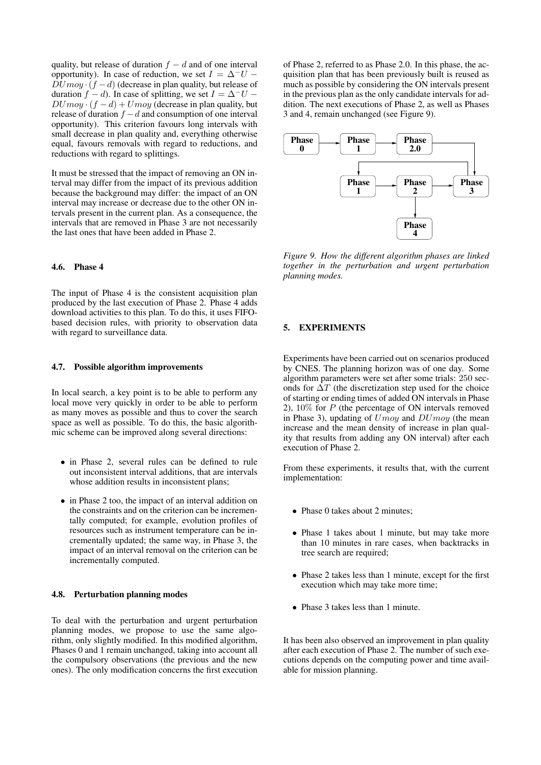quality, but release of duration  $f - d$  and of one interval opportunity). In case of reduction, we set  $I = \Delta^- U \overline{D}Umoy \cdot (f - d)$  (decrease in plan quality, but release of duration  $f - d$ ). In case of splitting, we set  $I = \Delta^- U DUmoy \cdot (f - d) + Umoy$  (decrease in plan quality, but release of duration  $f - d$  and consumption of one interval opportunity). This criterion favours long intervals with small decrease in plan quality and, everything otherwise equal, favours removals with regard to reductions, and reductions with regard to splittings.

It must be stressed that the impact of removing an ON interval may differ from the impact of its previous addition because the background may differ: the impact of an ON interval may increase or decrease due to the other ON intervals present in the current plan. As a consequence, the intervals that are removed in Phase 3 are not necessarily the last ones that have been added in Phase 2.

# 4.6. Phase 4

The input of Phase 4 is the consistent acquisition plan produced by the last execution of Phase 2. Phase 4 adds download activities to this plan. To do this, it uses FIFObased decision rules, with priority to observation data with regard to surveillance data.

#### 4.7. Possible algorithm improvements

In local search, a key point is to be able to perform any local move very quickly in order to be able to perform as many moves as possible and thus to cover the search space as well as possible. To do this, the basic algorithmic scheme can be improved along several directions:

- in Phase 2, several rules can be defined to rule out inconsistent interval additions, that are intervals whose addition results in inconsistent plans;
- in Phase 2 too, the impact of an interval addition on the constraints and on the criterion can be incrementally computed; for example, evolution profiles of resources such as instrument temperature can be incrementally updated; the same way, in Phase 3, the impact of an interval removal on the criterion can be incrementally computed.

## 4.8. Perturbation planning modes

To deal with the perturbation and urgent perturbation planning modes, we propose to use the same algorithm, only slightly modified. In this modified algorithm, Phases 0 and 1 remain unchanged, taking into account all the compulsory observations (the previous and the new ones). The only modification concerns the first execution

of Phase 2, referred to as Phase 2.0. In this phase, the acquisition plan that has been previously built is reused as much as possible by considering the ON intervals present in the previous plan as the only candidate intervals for addition. The next executions of Phase 2, as well as Phases 3 and 4, remain unchanged (see Figure 9).



*Figure 9. How the different algorithm phases are linked together in the perturbation and urgent perturbation planning modes.*

# 5. EXPERIMENTS

Experiments have been carried out on scenarios produced by CNES. The planning horizon was of one day. Some algorithm parameters were set after some trials: 250 seconds for  $\Delta T$  (the discretization step used for the choice of starting or ending times of added ON intervals in Phase 2),  $10\%$  for P (the percentage of ON intervals removed in Phase 3), updating of  $Umoy$  and  $DUmoy$  (the mean increase and the mean density of increase in plan quality that results from adding any ON interval) after each execution of Phase 2.

From these experiments, it results that, with the current implementation:

- Phase 0 takes about 2 minutes;
- Phase 1 takes about 1 minute, but may take more than 10 minutes in rare cases, when backtracks in tree search are required;
- Phase 2 takes less than 1 minute, except for the first execution which may take more time;
- Phase 3 takes less than 1 minute.

It has been also observed an improvement in plan quality after each execution of Phase 2. The number of such executions depends on the computing power and time available for mission planning.